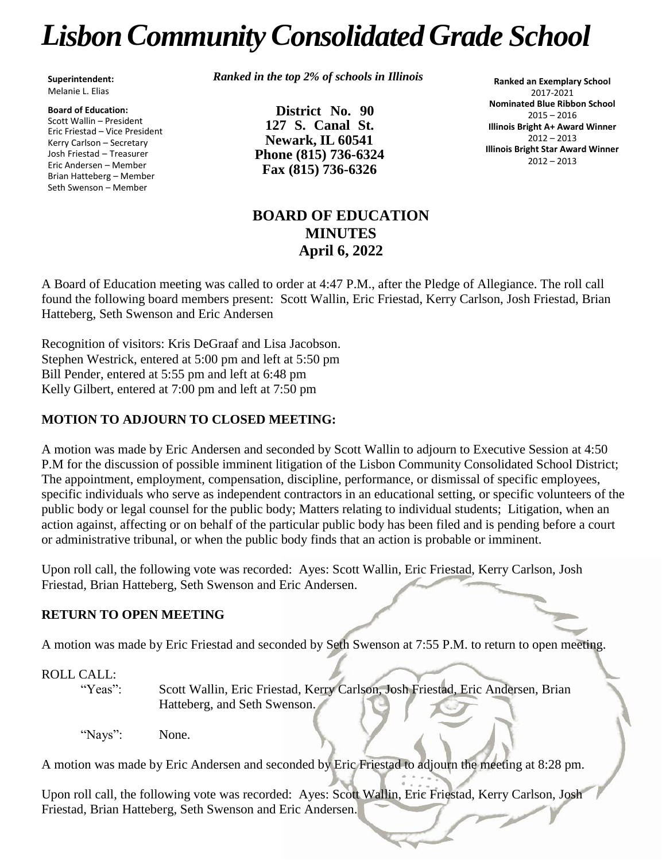# *LisbonCommunityConsolidated Grade School*

**Superintendent:** Melanie L. Elias

**Board of Education:** Scott Wallin – President Eric Friestad – Vice President Kerry Carlson – Secretary Josh Friestad – Treasurer Eric Andersen – Member Brian Hatteberg – Member Seth Swenson – Member

*Ranked in the top 2% of schools in Illinois*

**District No. 90 127 S. Canal St. Newark, IL 60541 Phone (815) 736-6324 Fax (815) 736-6326**

**Ranked an Exemplary School** 2017-2021 **Nominated Blue Ribbon School** 2015 – 2016 **Illinois Bright A+ Award Winner** 2012 – 2013 **Illinois Bright Star Award Winner** 2012 – 2013

## **BOARD OF EDUCATION MINUTES April 6, 2022**

A Board of Education meeting was called to order at 4:47 P.M., after the Pledge of Allegiance. The roll call found the following board members present: Scott Wallin, Eric Friestad, Kerry Carlson, Josh Friestad, Brian Hatteberg, Seth Swenson and Eric Andersen

Recognition of visitors: Kris DeGraaf and Lisa Jacobson. Stephen Westrick, entered at 5:00 pm and left at 5:50 pm Bill Pender, entered at 5:55 pm and left at 6:48 pm Kelly Gilbert, entered at 7:00 pm and left at 7:50 pm

#### **MOTION TO ADJOURN TO CLOSED MEETING:**

A motion was made by Eric Andersen and seconded by Scott Wallin to adjourn to Executive Session at 4:50 P.M for the discussion of possible imminent litigation of the Lisbon Community Consolidated School District; The appointment, employment, compensation, discipline, performance, or dismissal of specific employees, specific individuals who serve as independent contractors in an educational setting, or specific volunteers of the public body or legal counsel for the public body; Matters relating to individual students; Litigation, when an action against, affecting or on behalf of the particular public body has been filed and is pending before a court or administrative tribunal, or when the public body finds that an action is probable or imminent.

Upon roll call, the following vote was recorded: Ayes: Scott Wallin, Eric Friestad, Kerry Carlson, Josh Friestad, Brian Hatteberg, Seth Swenson and Eric Andersen.

#### **RETURN TO OPEN MEETING**

A motion was made by Eric Friestad and seconded by Seth Swenson at 7:55 P.M. to return to open meeting.

### ROLL CALL:

"Yeas": Scott Wallin, Eric Friestad, Kerry Carlson, Josh Friestad, Eric Andersen, Brian Hatteberg, and Seth Swenson.

"Nays": None.

A motion was made by Eric Andersen and seconded by Eric Friestad to adjourn the meeting at 8:28 pm.

Upon roll call, the following vote was recorded: Ayes: Scott Wallin, Eric Friestad, Kerry Carlson, Josh Friestad, Brian Hatteberg, Seth Swenson and Eric Andersen.